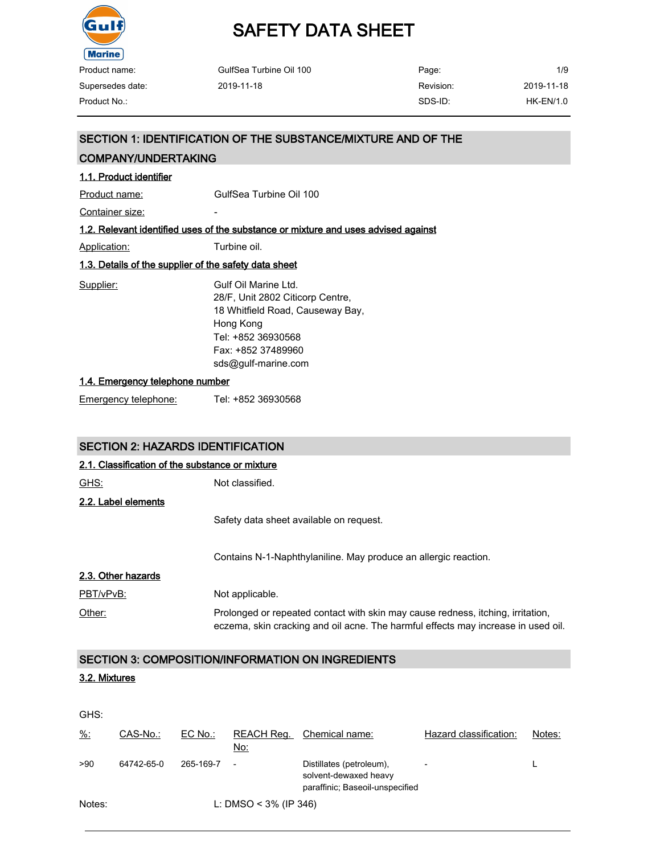

| GulfSea Turbine Oil 100 | Page:     | 1/9        |
|-------------------------|-----------|------------|
| 2019-11-18              | Revision: | 2019-11-18 |
|                         | SDS-ID:   | HK-EN/1.0  |
|                         |           |            |

#### SECTION 1: IDENTIFICATION OF THE SUBSTANCE/MIXTURE AND OF THE

#### COMPANY/UNDERTAKING

#### 1.1. Product identifier

Product name: GulfSea Turbine Oil 100

Container size: The container size:

#### 1.2. Relevant identified uses of the substance or mixture and uses advised against

Application: Turbine oil.

#### 1.3. Details of the supplier of the safety data sheet

| Supplier: | Gulf Oil Marine Ltd.             |
|-----------|----------------------------------|
|           | 28/F, Unit 2802 Citicorp Centre, |
|           | 18 Whitfield Road, Causeway Bay, |
|           | Hong Kong                        |
|           | Tel: +852 36930568               |
|           | Fax: +852 37489960               |
|           | sds@gulf-marine.com              |
|           |                                  |

#### 1.4. Emergency telephone number

Emergency telephone: Tel: +852 36930568

#### SECTION 2: HAZARDS IDENTIFICATION

| 2.1. Classification of the substance or mixture |                                                                                                                                                                      |  |  |
|-------------------------------------------------|----------------------------------------------------------------------------------------------------------------------------------------------------------------------|--|--|
| <u>GHS:</u>                                     | Not classified.                                                                                                                                                      |  |  |
| 2.2. Label elements                             |                                                                                                                                                                      |  |  |
|                                                 | Safety data sheet available on request.                                                                                                                              |  |  |
|                                                 | Contains N-1-Naphthylaniline. May produce an allergic reaction.                                                                                                      |  |  |
| 2.3. Other hazards                              |                                                                                                                                                                      |  |  |
| PBT/vPvB:                                       | Not applicable.                                                                                                                                                      |  |  |
| Other:                                          | Prolonged or repeated contact with skin may cause redness, itching, irritation,<br>eczema, skin cracking and oil acne. The harmful effects may increase in used oil. |  |  |

#### SECTION 3: COMPOSITION/INFORMATION ON INGREDIENTS

#### 3.2. Mixtures

| GHS:            |            |           |                          |                                                                                      |                          |        |
|-----------------|------------|-----------|--------------------------|--------------------------------------------------------------------------------------|--------------------------|--------|
| $\frac{9}{6}$ : | CAS-No.:   | $EC$ No.: | REACH Req.<br>No:        | Chemical name:                                                                       | Hazard classification:   | Notes: |
| >90             | 64742-65-0 | 265-169-7 | $\overline{\phantom{a}}$ | Distillates (petroleum).<br>solvent-dewaxed heavy<br>paraffinic; Baseoil-unspecified | $\overline{\phantom{a}}$ |        |
| Notes:          |            |           | L: DMSO < $3\%$ (IP 346) |                                                                                      |                          |        |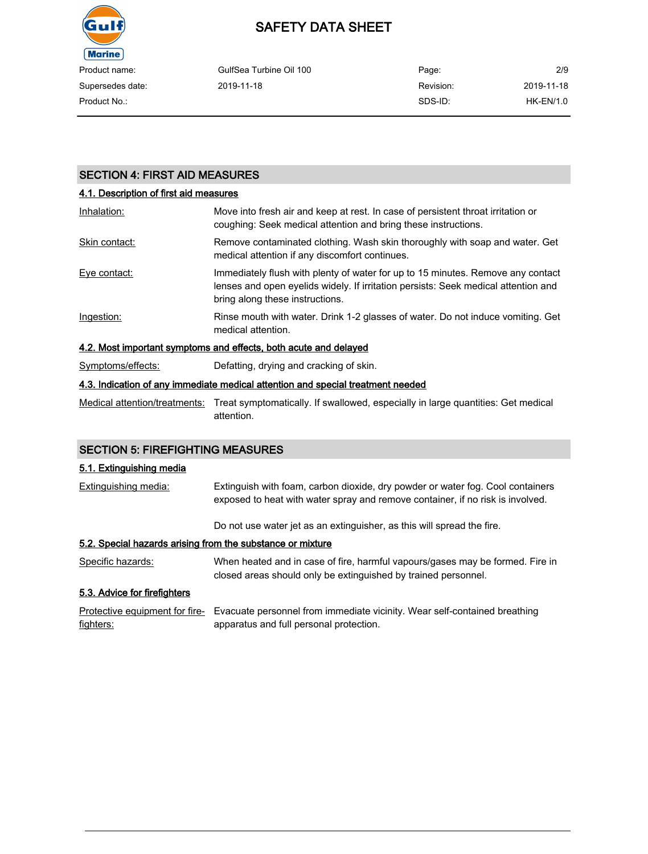

| Product name:    | GulfSea Turbine Oil 100 | Page:     | 2/9         |
|------------------|-------------------------|-----------|-------------|
| Supersedes date: | 2019-11-18              | Revision: | 2019-11-18  |
| Product No.:     |                         | SDS-ID:   | $HK-EN/1.0$ |

#### SECTION 4: FIRST AID MEASURES

## 4.1. Description of first aid measures Inhalation: Move into fresh air and keep at rest. In case of persistent throat irritation or coughing: Seek medical attention and bring these instructions. Skin contact: Remove contaminated clothing. Wash skin thoroughly with soap and water. Get medical attention if any discomfort continues. Eye contact: Immediately flush with plenty of water for up to 15 minutes. Remove any contact lenses and open eyelids widely. If irritation persists: Seek medical attention and bring along these instructions. Ingestion: Rinse mouth with water. Drink 1-2 glasses of water. Do not induce vomiting. Get medical attention. 4.2. Most important symptoms and effects, both acute and delayed Symptoms/effects: Defatting, drying and cracking of skin. 4.3. Indication of any immediate medical attention and special treatment needed

Medical attention/treatments: Treat symptomatically. If swallowed, especially in large quantities: Get medical attention.

#### SECTION 5: FIREFIGHTING MEASURES

#### 5.1. Extinguishing media

| Extinguishing media:                                       | Extinguish with foam, carbon dioxide, dry powder or water fog. Cool containers<br>exposed to heat with water spray and remove container, if no risk is involved. |
|------------------------------------------------------------|------------------------------------------------------------------------------------------------------------------------------------------------------------------|
|                                                            | Do not use water jet as an extinguisher, as this will spread the fire.                                                                                           |
| 5.2. Special hazards arising from the substance or mixture |                                                                                                                                                                  |
| Specific hazards:                                          | When heated and in case of fire, harmful vapours/gases may be formed. Fire in<br>closed areas should only be extinguished by trained personnel.                  |
| 5.3. Advice for firefighters                               |                                                                                                                                                                  |

Protective equipment for fire- Evacuate personnel from immediate vicinity. Wear self-contained breathing fighters: apparatus and full personal protection.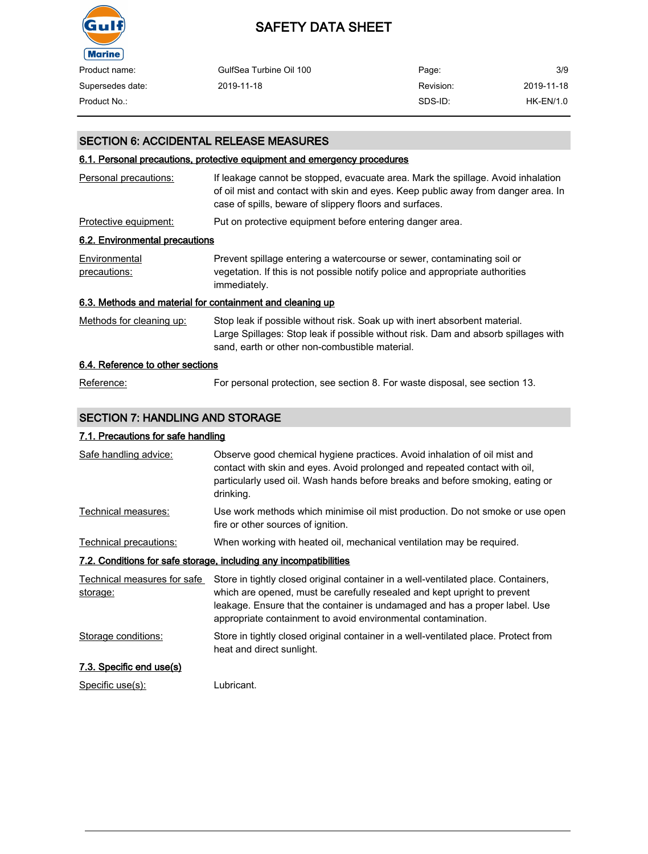

| Product name:    | GulfSea Turbine Oil 100 | Page:     | 3/9        |
|------------------|-------------------------|-----------|------------|
| Supersedes date: | 2019-11-18              | Revision: | 2019-11-18 |
| Product No.:     |                         | SDS-ID:   | HK-EN/1.0  |

#### SECTION 6: ACCIDENTAL RELEASE MEASURES

#### 6.1. Personal precautions, protective equipment and emergency procedures

| Personal precautions:                                     | If leakage cannot be stopped, evacuate area. Mark the spillage. Avoid inhalation<br>of oil mist and contact with skin and eyes. Keep public away from danger area. In<br>case of spills, beware of slippery floors and surfaces. |
|-----------------------------------------------------------|----------------------------------------------------------------------------------------------------------------------------------------------------------------------------------------------------------------------------------|
| Protective equipment:                                     | Put on protective equipment before entering danger area.                                                                                                                                                                         |
| 6.2. Environmental precautions                            |                                                                                                                                                                                                                                  |
| Environmental<br>precautions:                             | Prevent spillage entering a watercourse or sewer, contaminating soil or<br>vegetation. If this is not possible notify police and appropriate authorities<br>immediately.                                                         |
| 6.3. Methods and material for containment and cleaning up |                                                                                                                                                                                                                                  |
| Methods for cleaning up:                                  | Stop leak if possible without risk. Soak up with inert absorbent material.<br>Large Spillages: Stop leak if possible without risk. Dam and absorb spillages with<br>sand, earth or other non-combustible material.               |
| 6.4. Reference to other sections                          |                                                                                                                                                                                                                                  |
| Reference:                                                | For personal protection, see section 8. For waste disposal, see section 13.                                                                                                                                                      |

#### SECTION 7: HANDLING AND STORAGE

#### 7.1. Precautions for safe handling

| Safe handling advice:                   | Observe good chemical hygiene practices. Avoid inhalation of oil mist and<br>contact with skin and eyes. Avoid prolonged and repeated contact with oil,<br>particularly used oil. Wash hands before breaks and before smoking, eating or<br>drinking.                                                          |
|-----------------------------------------|----------------------------------------------------------------------------------------------------------------------------------------------------------------------------------------------------------------------------------------------------------------------------------------------------------------|
| Technical measures:                     | Use work methods which minimise oil mist production. Do not smoke or use open<br>fire or other sources of ignition.                                                                                                                                                                                            |
| Technical precautions:                  | When working with heated oil, mechanical ventilation may be required.                                                                                                                                                                                                                                          |
|                                         | 7.2. Conditions for safe storage, including any incompatibilities                                                                                                                                                                                                                                              |
| Technical measures for safe<br>storage: | Store in tightly closed original container in a well-ventilated place. Containers,<br>which are opened, must be carefully resealed and kept upright to prevent<br>leakage. Ensure that the container is undamaged and has a proper label. Use<br>appropriate containment to avoid environmental contamination. |
| Storage conditions:                     | Store in tightly closed original container in a well-ventilated place. Protect from<br>heat and direct sunlight.                                                                                                                                                                                               |
| 7.3. Specific end use(s)                |                                                                                                                                                                                                                                                                                                                |
| Specific use(s):                        | Lubricant.                                                                                                                                                                                                                                                                                                     |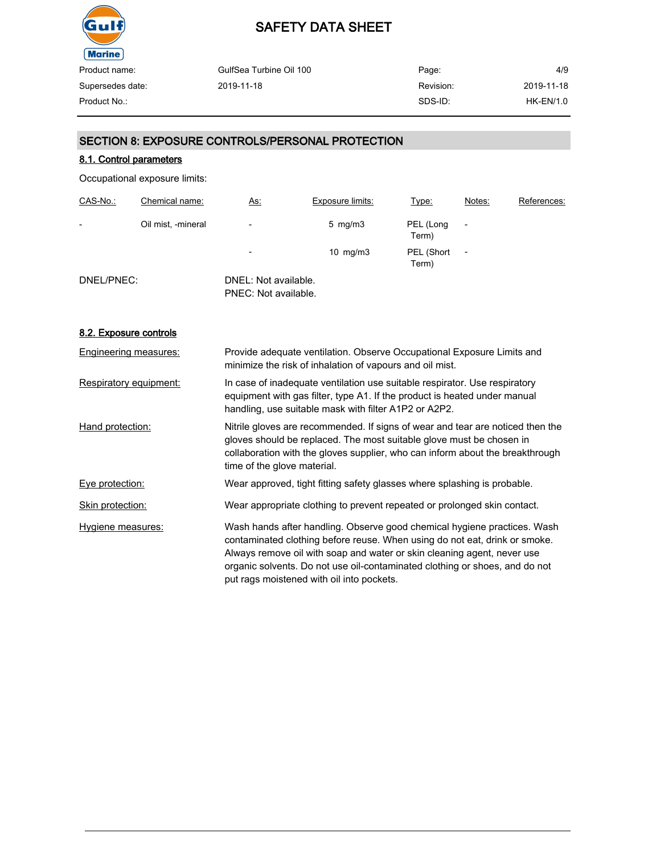

| Product name:    | GulfSea Turbine Oil 100 | Page:     | 4/9         |
|------------------|-------------------------|-----------|-------------|
| Supersedes date: | 2019-11-18              | Revision: | 2019-11-18  |
| Product No.:     |                         | SDS-ID:   | $HK-EN/1.0$ |
|                  |                         |           |             |

#### SECTION 8: EXPOSURE CONTROLS/PERSONAL PROTECTION

#### 8.1. Control parameters

Occupational exposure limits:

| CAS-No.:                 | Chemical name:     | <u>As:</u>                                   | Exposure limits:   | <u>Type:</u>        | Notes:                   | References: |
|--------------------------|--------------------|----------------------------------------------|--------------------|---------------------|--------------------------|-------------|
| $\overline{\phantom{0}}$ | Oil mist, -mineral | $\overline{\phantom{a}}$                     | $5 \,$ mg/m $3 \,$ | PEL (Long<br>Term)  | $\overline{\phantom{0}}$ |             |
|                          |                    | $\overline{\phantom{0}}$                     | $10$ mg/m $3$      | PEL (Short<br>Term) | $\overline{a}$           |             |
| DNEL/PNEC:               |                    | DNEL: Not available.<br>PNEC: Not available. |                    |                     |                          |             |

#### 8.2. Exposure controls

| <b>Engineering measures:</b> | Provide adequate ventilation. Observe Occupational Exposure Limits and<br>minimize the risk of inhalation of vapours and oil mist.                                                                                                                                                                                                                            |
|------------------------------|---------------------------------------------------------------------------------------------------------------------------------------------------------------------------------------------------------------------------------------------------------------------------------------------------------------------------------------------------------------|
| Respiratory equipment:       | In case of inadequate ventilation use suitable respirator. Use respiratory<br>equipment with gas filter, type A1. If the product is heated under manual<br>handling, use suitable mask with filter A1P2 or A2P2.                                                                                                                                              |
| Hand protection:             | Nitrile gloves are recommended. If signs of wear and tear are noticed then the<br>gloves should be replaced. The most suitable glove must be chosen in<br>collaboration with the gloves supplier, who can inform about the breakthrough<br>time of the glove material.                                                                                        |
| Eye protection:              | Wear approved, tight fitting safety glasses where splashing is probable.                                                                                                                                                                                                                                                                                      |
| Skin protection:             | Wear appropriate clothing to prevent repeated or prolonged skin contact.                                                                                                                                                                                                                                                                                      |
| Hygiene measures:            | Wash hands after handling. Observe good chemical hygiene practices. Wash<br>contaminated clothing before reuse. When using do not eat, drink or smoke.<br>Always remove oil with soap and water or skin cleaning agent, never use<br>organic solvents. Do not use oil-contaminated clothing or shoes, and do not<br>put rags moistened with oil into pockets. |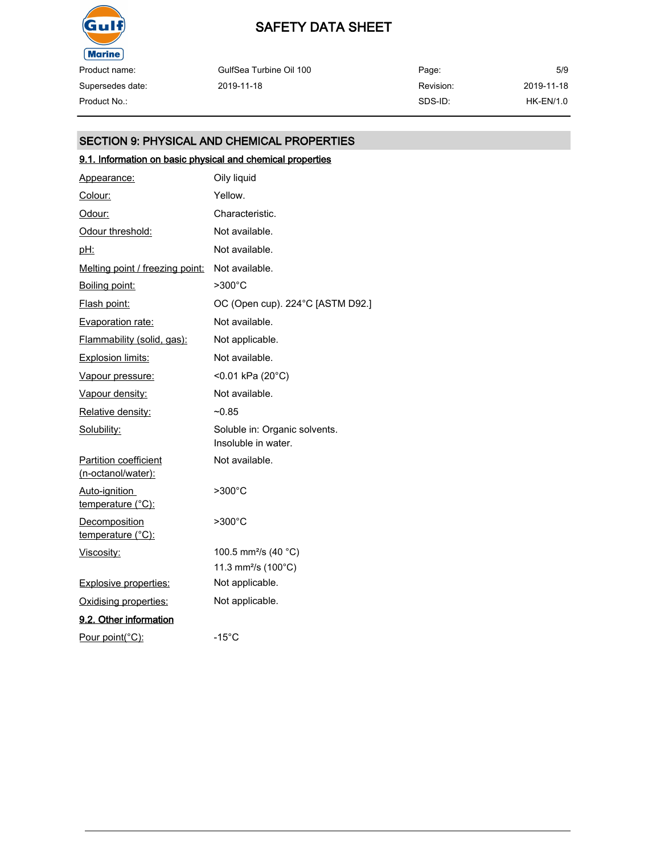

Product name: Supersedes date:

| Product name:    | GulfSea Turbine Oil 100 | Page:     | 5/9        |
|------------------|-------------------------|-----------|------------|
| Supersedes date: | 2019-11-18              | Revision: | 2019-11-18 |
| Product No.:     |                         | SDS-ID:   | HK-EN/1.0  |

#### SECTION 9: PHYSICAL AND CHEMICAL PROPERTIES

### 9.1. Information on basic physical and chemical properties

| Appearance:                                        | Oily liquid                                          |
|----------------------------------------------------|------------------------------------------------------|
| Colour:                                            | Yellow.                                              |
| Odour:                                             | Characteristic.                                      |
| Odour threshold:                                   | Not available.                                       |
| pH:                                                | Not available.                                       |
| <u>Melting point / freezing point:</u>             | Not available.                                       |
| Boiling point:                                     | >300°C                                               |
| <u>Flash point:</u>                                | OC (Open cup). 224°C [ASTM D92.]                     |
| <b>Evaporation rate:</b>                           | Not available.                                       |
| Flammability (solid, gas):                         | Not applicable.                                      |
| Explosion limits:                                  | Not available.                                       |
| Vapour pressure:                                   | <0.01 kPa (20°C)                                     |
| Vapour density:                                    | Not available.                                       |
| Relative density:                                  | $-0.85$                                              |
| Solubility:                                        | Soluble in: Organic solvents.<br>Insoluble in water. |
| <b>Partition coefficient</b><br>(n-octanol/water): | Not available.                                       |
| Auto-ignition<br>temperature (°C):                 | $>300^{\circ}$ C                                     |
| <b>Decomposition</b><br>temperature (°C):          | >300°C                                               |
| Viscosity:                                         | 100.5 mm <sup>2</sup> /s (40 °C)                     |
|                                                    | 11.3 mm <sup>2</sup> /s (100°C)                      |
| <b>Explosive properties:</b>                       | Not applicable.                                      |
| Oxidising properties:                              | Not applicable.                                      |
| 9.2. Other information                             |                                                      |
| Pour point(°C):                                    | $-15^{\circ}$ C                                      |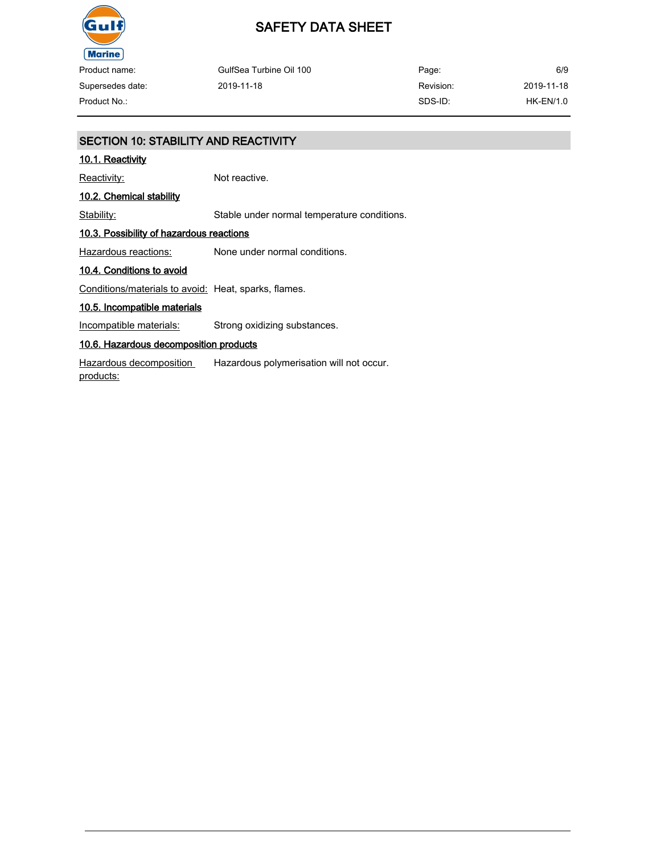

## SAFETY DATA SHEET

| Product name:    | GulfSea Turbine Oil 100 | Page:     | 6/9         |
|------------------|-------------------------|-----------|-------------|
| Supersedes date: | 2019-11-18              | Revision: | 2019-11-18  |
| Product No.:     |                         | SDS-ID:   | $HK-EN/1.0$ |

| <b>SECTION 10: STABILITY AND REACTIVITY</b>          |                                             |  |  |
|------------------------------------------------------|---------------------------------------------|--|--|
| 10.1. Reactivity                                     |                                             |  |  |
| Reactivity:                                          | Not reactive.                               |  |  |
| 10.2. Chemical stability                             |                                             |  |  |
| Stability:                                           | Stable under normal temperature conditions. |  |  |
| 10.3. Possibility of hazardous reactions             |                                             |  |  |
| Hazardous reactions:                                 | None under normal conditions.               |  |  |
| 10.4. Conditions to avoid                            |                                             |  |  |
| Conditions/materials to avoid: Heat, sparks, flames. |                                             |  |  |
| 10.5. Incompatible materials                         |                                             |  |  |
| Incompatible materials:                              | Strong oxidizing substances.                |  |  |
| 10.6. Hazardous decomposition products               |                                             |  |  |
| Hazardous decomposition<br>products:                 | Hazardous polymerisation will not occur.    |  |  |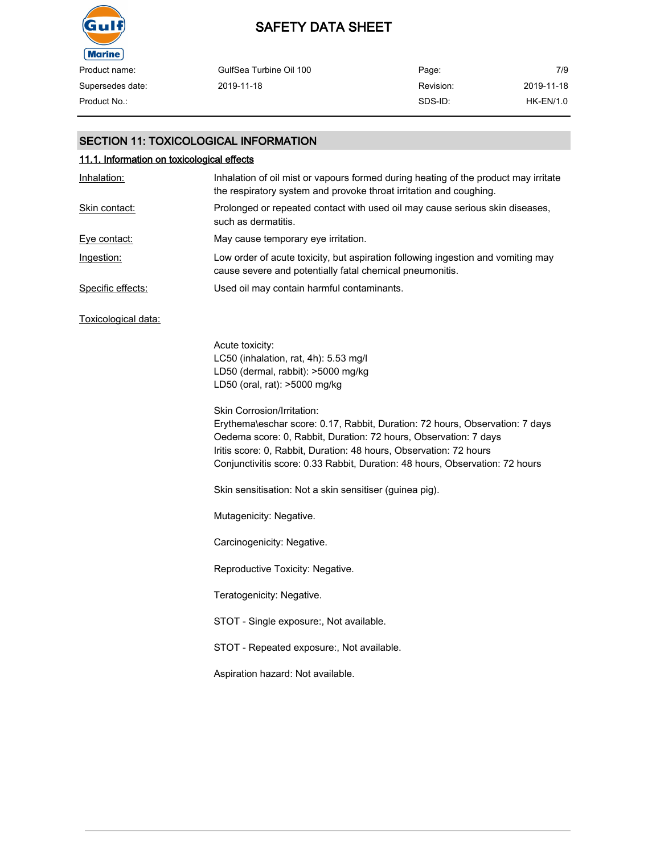

| Product name:    | GulfSea Turbine Oil 100 | Page:     | 7/9        |
|------------------|-------------------------|-----------|------------|
| Supersedes date: | 2019-11-18              | Revision: | 2019-11-18 |
| Product No.:     |                         | SDS-ID:   | HK-EN/1.0  |

#### SECTION 11: TOXICOLOGICAL INFORMATION

| 11.1. Information on toxicological effects |                                                                                                                                                                                                                                                                                                                                      |  |  |  |
|--------------------------------------------|--------------------------------------------------------------------------------------------------------------------------------------------------------------------------------------------------------------------------------------------------------------------------------------------------------------------------------------|--|--|--|
| Inhalation:                                | Inhalation of oil mist or vapours formed during heating of the product may irritate<br>the respiratory system and provoke throat irritation and coughing.                                                                                                                                                                            |  |  |  |
| Skin contact:                              | Prolonged or repeated contact with used oil may cause serious skin diseases,<br>such as dermatitis.                                                                                                                                                                                                                                  |  |  |  |
| Eye contact:                               | May cause temporary eye irritation.                                                                                                                                                                                                                                                                                                  |  |  |  |
| Ingestion:                                 | Low order of acute toxicity, but aspiration following ingestion and vomiting may<br>cause severe and potentially fatal chemical pneumonitis.                                                                                                                                                                                         |  |  |  |
| Specific effects:                          | Used oil may contain harmful contaminants.                                                                                                                                                                                                                                                                                           |  |  |  |
| Toxicological data:                        |                                                                                                                                                                                                                                                                                                                                      |  |  |  |
|                                            | Acute toxicity:<br>LC50 (inhalation, rat, 4h): 5.53 mg/l<br>LD50 (dermal, rabbit): >5000 mg/kg<br>LD50 (oral, rat): >5000 mg/kg                                                                                                                                                                                                      |  |  |  |
|                                            | Skin Corrosion/Irritation:<br>Erythema\eschar score: 0.17, Rabbit, Duration: 72 hours, Observation: 7 days<br>Oedema score: 0, Rabbit, Duration: 72 hours, Observation: 7 days<br>Iritis score: 0, Rabbit, Duration: 48 hours, Observation: 72 hours<br>Conjunctivitis score: 0.33 Rabbit, Duration: 48 hours, Observation: 72 hours |  |  |  |
|                                            | Skin sensitisation: Not a skin sensitiser (guinea pig).                                                                                                                                                                                                                                                                              |  |  |  |
|                                            | Mutagenicity: Negative.                                                                                                                                                                                                                                                                                                              |  |  |  |
|                                            | Carcinogenicity: Negative.                                                                                                                                                                                                                                                                                                           |  |  |  |
|                                            | Reproductive Toxicity: Negative.                                                                                                                                                                                                                                                                                                     |  |  |  |
|                                            | Teratogenicity: Negative.                                                                                                                                                                                                                                                                                                            |  |  |  |
|                                            | STOT - Single exposure:, Not available.                                                                                                                                                                                                                                                                                              |  |  |  |
|                                            | STOT - Repeated exposure:, Not available.                                                                                                                                                                                                                                                                                            |  |  |  |
|                                            | Aspiration hazard: Not available.                                                                                                                                                                                                                                                                                                    |  |  |  |
|                                            |                                                                                                                                                                                                                                                                                                                                      |  |  |  |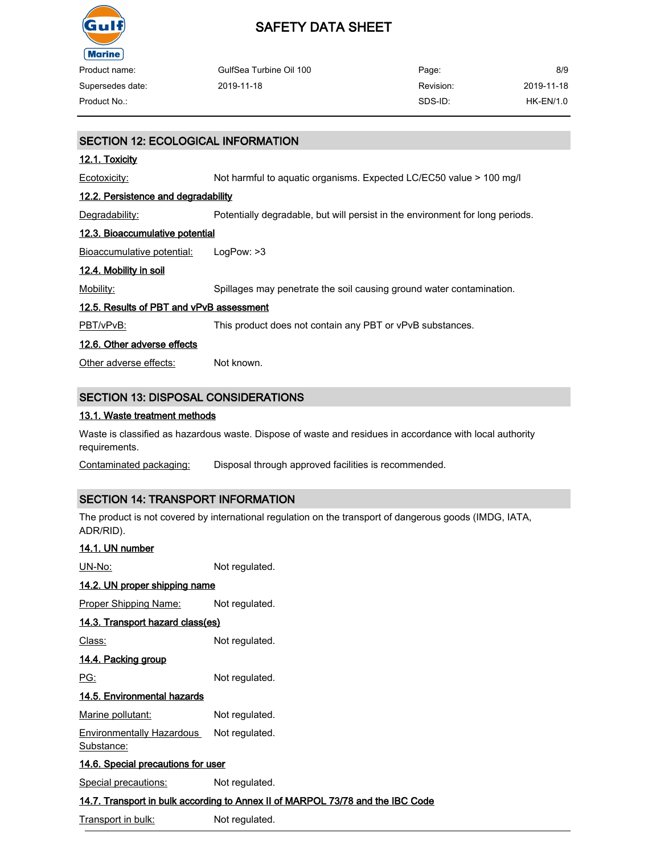

 $\overline{\phantom{0}}$ i.

## SAFETY DATA SHEET

| Product name:    | GulfSea Turbine Oil 100 | Page:     | 8/9        |
|------------------|-------------------------|-----------|------------|
| Supersedes date: | 2019-11-18              | Revision: | 2019-11-18 |
| Product No.:     |                         | SDS-ID:   | HK-EN/1.0  |
|                  |                         |           |            |

| <b>SECTION 12: ECOLOGICAL INFORMATION</b>  |                                                                               |
|--------------------------------------------|-------------------------------------------------------------------------------|
| 12.1. Toxicity                             |                                                                               |
| Ecotoxicity:                               | Not harmful to aquatic organisms. Expected LC/EC50 value > 100 mg/l           |
| 12.2. Persistence and degradability        |                                                                               |
| Degradability:                             | Potentially degradable, but will persist in the environment for long periods. |
| 12.3. Bioaccumulative potential            |                                                                               |
| Bioaccumulative potential:                 | LogPow: >3                                                                    |
| 12.4. Mobility in soil                     |                                                                               |
| Mobility:                                  | Spillages may penetrate the soil causing ground water contamination.          |
| 12.5. Results of PBT and vPvB assessment   |                                                                               |
| PBT/vPvB:                                  | This product does not contain any PBT or vPvB substances.                     |
| 12.6. Other adverse effects                |                                                                               |
| Other adverse effects:                     | Not known.                                                                    |
|                                            |                                                                               |
| <b>SECTION 13: DISPOSAL CONSIDERATIONS</b> |                                                                               |

#### 13.1. Waste treatment methods

Waste is classified as hazardous waste. Dispose of waste and residues in accordance with local authority requirements.

Contaminated packaging: Disposal through approved facilities is recommended.

#### SECTION 14: TRANSPORT INFORMATION

The product is not covered by international regulation on the transport of dangerous goods (IMDG, IATA, ADR/RID).

| 14.1. UN number              |                                           |                                                                                |
|------------------------------|-------------------------------------------|--------------------------------------------------------------------------------|
| UN-No:                       |                                           | Not regulated.                                                                 |
|                              | 14.2. UN proper shipping name             |                                                                                |
| <b>Proper Shipping Name:</b> |                                           | Not regulated.                                                                 |
|                              | 14.3. Transport hazard class(es)          |                                                                                |
| Class:                       |                                           | Not regulated.                                                                 |
| <u>14.4. Packing group</u>   |                                           |                                                                                |
| PG:                          |                                           | Not regulated.                                                                 |
|                              | 14.5. Environmental hazards               |                                                                                |
| Marine pollutant:            |                                           | Not regulated.                                                                 |
| <u>Substance:</u>            | <b>Environmentally Hazardous</b>          | Not regulated.                                                                 |
|                              | <u>14.6. Special precautions for user</u> |                                                                                |
| Special precautions:         |                                           | Not regulated.                                                                 |
|                              |                                           | 14.7. Transport in bulk according to Annex II of MARPOL 73/78 and the IBC Code |
|                              |                                           |                                                                                |

Transport in bulk: Not regulated.